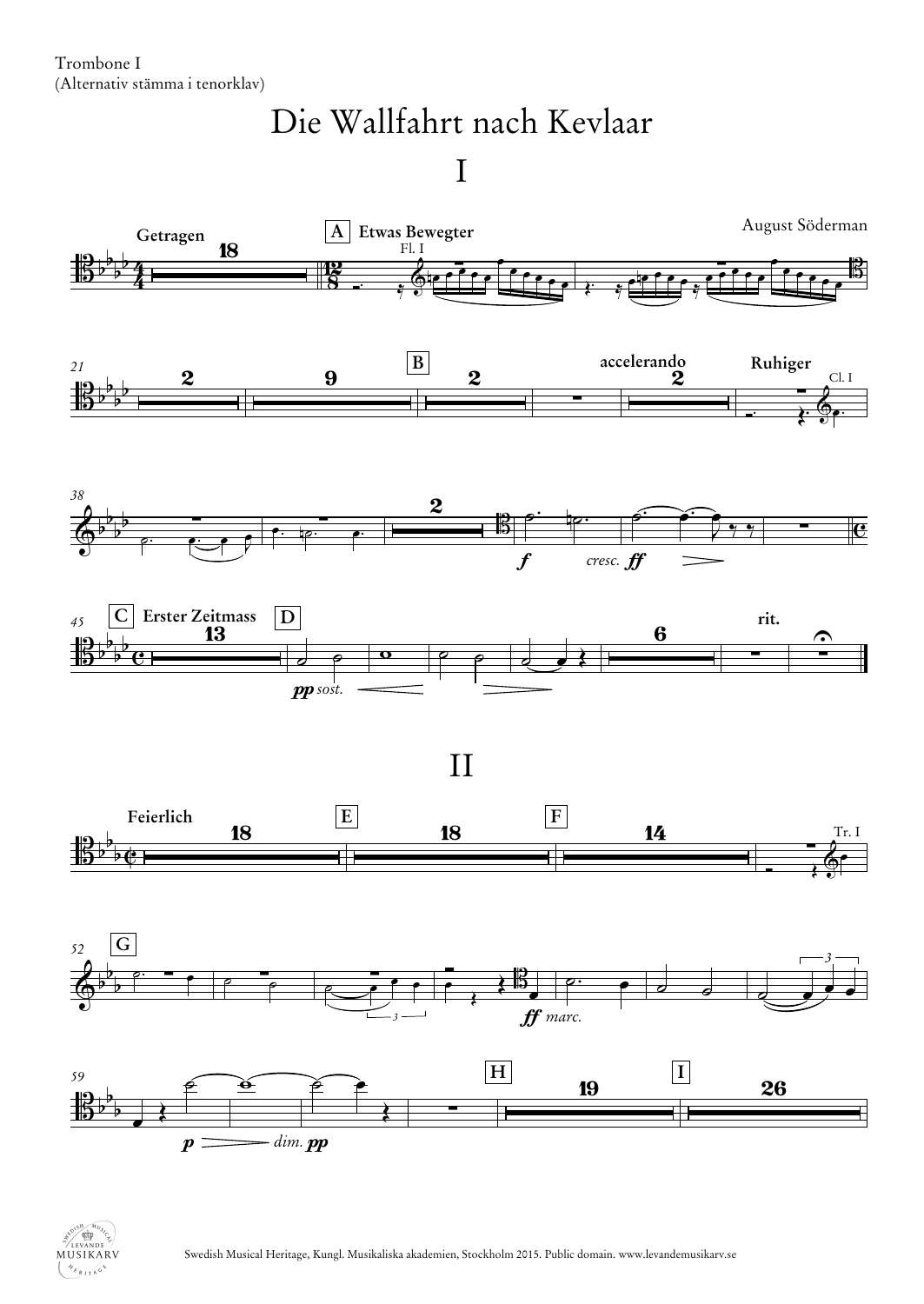Trombone I (Alternativ stämma i tenorklav)

## Die Wallfahrt nach Kevlaar

I